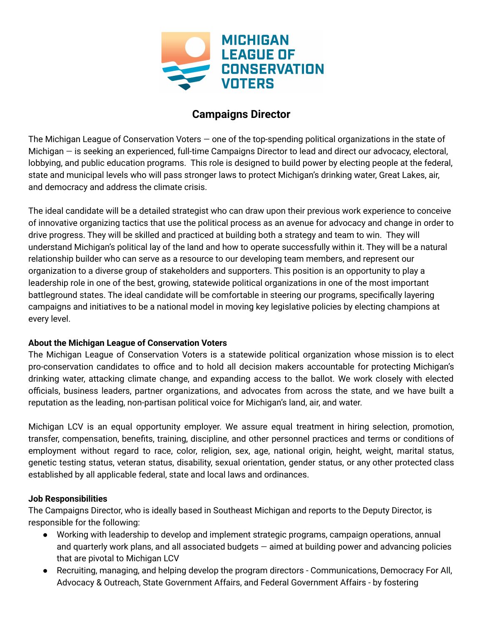

## **Campaigns Director**

The Michigan League of Conservation Voters — one of the top-spending political organizations in the state of Michigan — is seeking an experienced, full-time Campaigns Director to lead and direct our advocacy, electoral, lobbying, and public education programs. This role is designed to build power by electing people at the federal, state and municipal levels who will pass stronger laws to protect Michigan's drinking water, Great Lakes, air, and democracy and address the climate crisis.

The ideal candidate will be a detailed strategist who can draw upon their previous work experience to conceive of innovative organizing tactics that use the political process as an avenue for advocacy and change in order to drive progress. They will be skilled and practiced at building both a strategy and team to win. They will understand Michigan's political lay of the land and how to operate successfully within it. They will be a natural relationship builder who can serve as a resource to our developing team members, and represent our organization to a diverse group of stakeholders and supporters. This position is an opportunity to play a leadership role in one of the best, growing, statewide political organizations in one of the most important battleground states. The ideal candidate will be comfortable in steering our programs, specifically layering campaigns and initiatives to be a national model in moving key legislative policies by electing champions at every level.

#### **About the Michigan League of Conservation Voters**

The Michigan League of Conservation Voters is a statewide political organization whose mission is to elect pro-conservation candidates to office and to hold all decision makers accountable for protecting Michigan's drinking water, attacking climate change, and expanding access to the ballot. We work closely with elected officials, business leaders, partner organizations, and advocates from across the state, and we have built a reputation as the leading, non-partisan political voice for Michigan's land, air, and water.

Michigan LCV is an equal opportunity employer. We assure equal treatment in hiring selection, promotion, transfer, compensation, benefits, training, discipline, and other personnel practices and terms or conditions of employment without regard to race, color, religion, sex, age, national origin, height, weight, marital status, genetic testing status, veteran status, disability, sexual orientation, gender status, or any other protected class established by all applicable federal, state and local laws and ordinances.

#### **Job Responsibilities**

The Campaigns Director, who is ideally based in Southeast Michigan and reports to the Deputy Director, is responsible for the following:

- Working with leadership to develop and implement strategic programs, campaign operations, annual and quarterly work plans, and all associated budgets — aimed at building power and advancing policies that are pivotal to Michigan LCV
- Recruiting, managing, and helping develop the program directors Communications, Democracy For All, Advocacy & Outreach, State Government Affairs, and Federal Government Affairs - by fostering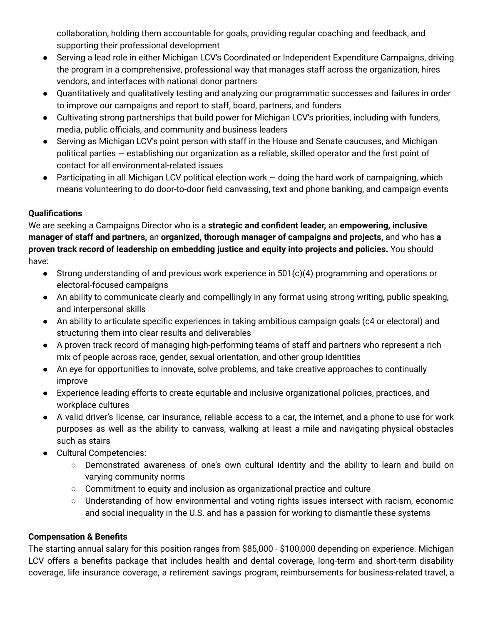collaboration, holding them accountable for goals, providing regular coaching and feedback, and supporting their professional development

- Serving a lead role in either Michigan LCV's Coordinated or Independent Expenditure Campaigns, driving the program in a comprehensive, professional way that manages staff across the organization, hires vendors, and interfaces with national donor partners
- Quantitatively and qualitatively testing and analyzing our programmatic successes and failures in order to improve our campaigns and report to staff, board, partners, and funders
- Cultivating strong partnerships that build power for Michigan LCV's priorities, including with funders, media, public officials, and community and business leaders
- Serving as Michigan LCV's point person with staff in the House and Senate caucuses, and Michigan political parties — establishing our organization as a reliable, skilled operator and the first point of contact for all environmental-related issues
- Participating in all Michigan LCV political election work doing the hard work of campaigning, which means volunteering to do door-to-door field canvassing, text and phone banking, and campaign events

## **Qualifications**

We are seeking a Campaigns Director who is a **strategic and confident leader,** an **empowering, inclusive manager of staff and partners,** an **organized, thorough manager of campaigns and projects,** and who has **a proven track record of leadership on embedding justice and equity into projects and policies.** You should have:

- Strong understanding of and previous work experience in 501(c)(4) programming and operations or electoral-focused campaigns
- An ability to communicate clearly and compellingly in any format using strong writing, public speaking, and interpersonal skills
- An ability to articulate specific experiences in taking ambitious campaign goals (c4 or electoral) and structuring them into clear results and deliverables
- A proven track record of managing high-performing teams of staff and partners who represent a rich mix of people across race, gender, sexual orientation, and other group identities
- An eye for opportunities to innovate, solve problems, and take creative approaches to continually improve
- Experience leading efforts to create equitable and inclusive organizational policies, practices, and workplace cultures
- A valid driver's license, car insurance, reliable access to a car, the internet, and a phone to use for work purposes as well as the ability to canvass, walking at least a mile and navigating physical obstacles such as stairs
- Cultural Competencies:
	- Demonstrated awareness of one's own cultural identity and the ability to learn and build on varying community norms
	- $\circ$  Commitment to equity and inclusion as organizational practice and culture
	- Understanding of how environmental and voting rights issues intersect with racism, economic and social inequality in the U.S. and has a passion for working to dismantle these systems

### **Compensation & Benefits**

The starting annual salary for this position ranges from \$85,000 - \$100,000 depending on experience. Michigan LCV offers a benefits package that includes health and dental coverage, long-term and short-term disability coverage, life insurance coverage, a retirement savings program, reimbursements for business-related travel, a